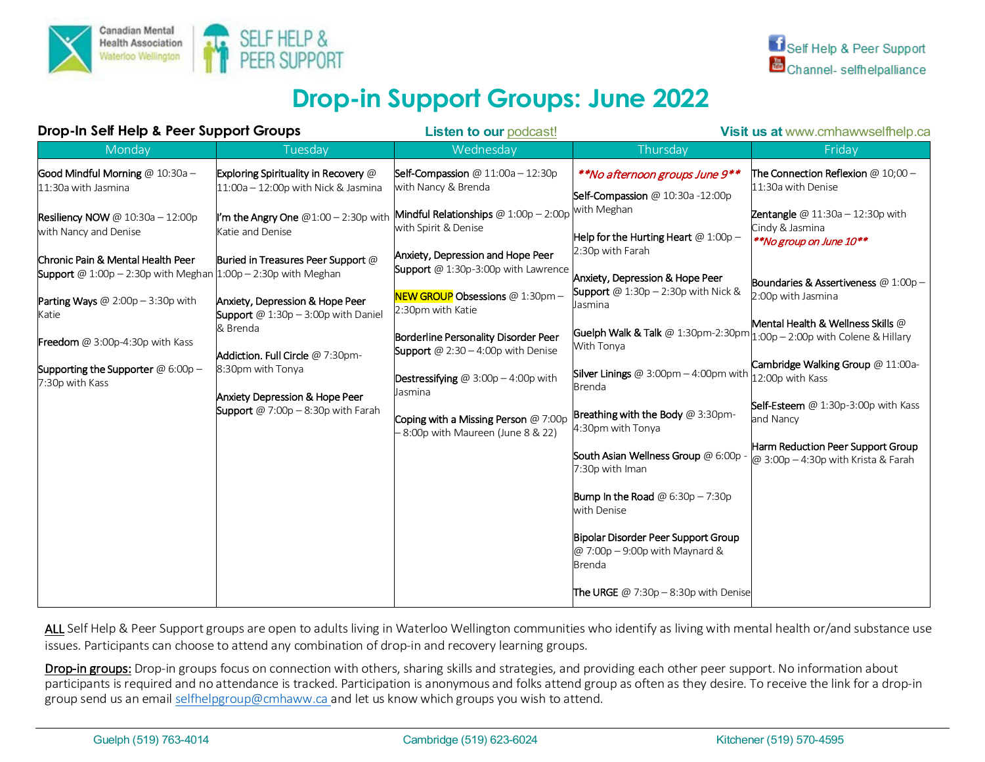

# **Drop-in Support Groups: June 2022**

| Drop-In Self Help & Peer Support Groups                                                                                                                                    |                                                                                                                                   | <b>Listen to our podcast!</b>                                                                                                                                                                                                                                                                                                      |                                                                                            | Visit us at www.cmhawwselfhelp.ca                                                       |
|----------------------------------------------------------------------------------------------------------------------------------------------------------------------------|-----------------------------------------------------------------------------------------------------------------------------------|------------------------------------------------------------------------------------------------------------------------------------------------------------------------------------------------------------------------------------------------------------------------------------------------------------------------------------|--------------------------------------------------------------------------------------------|-----------------------------------------------------------------------------------------|
| Monday                                                                                                                                                                     | Tuesday                                                                                                                           | Wednesday                                                                                                                                                                                                                                                                                                                          | Thursday                                                                                   | Friday                                                                                  |
| Good Mindful Morning @ 10:30a -<br>11:30a with Jasmina                                                                                                                     | Exploring Spirituality in Recovery @<br>11:00a - 12:00p with Nick & Jasmina                                                       | Self-Compassion $@11:00a-12:30p$<br>with Nancy & Brenda                                                                                                                                                                                                                                                                            | **No afternoon groups June 9**<br>Self-Compassion @ 10:30a -12:00p                         | The Connection Reflexion $@10;00-$<br>11:30a with Denise                                |
| <b>Resiliency NOW</b> @ $10:30a - 12:00p$<br>with Nancy and Denise                                                                                                         | I'm the Angry One @1:00 - 2:30p with<br>Katie and Denise                                                                          | Mindful Relationships $@ 1:00p - 2:00p$<br>with Spirit & Denise<br>Anxiety, Depression and Hope Peer                                                                                                                                                                                                                               | with Meghan<br>Help for the Hurting Heart $@1:00p-$<br>2:30p with Farah                    | <b>Zentangle</b> @ $11:30a - 12:30p$ with<br>Cindy & Jasmina<br>**No group on June 10** |
| Chronic Pain & Mental Health Peer<br><b>Support</b> @ 1:00p - 2:30p with Meghan $\left  1:00p - 2:30p \right $ with Meghan<br>Parting Ways $@ 2:00p - 3:30p$ with<br>Katie | Buried in Treasures Peer Support @<br>Anxiety, Depression & Hope Peer<br><b>Support</b> @ 1:30p $-$ 3:00p with Daniel<br>& Brenda | <b>Support</b> $@1:30p-3:00p$ with Lawrence<br>NEW GROUP Obsessions @ 1:30pm -<br>2:30pm with Katie<br>Borderline Personality Disorder Peer<br><b>Support</b> @ 2:30 $-$ 4:00p with Denise<br><b>Destressifying</b> @ $3:00p - 4:00p$ with<br>Jasmina<br>Coping with a Missing Person @ 7:00p<br>-8:00p with Maureen (June 8 & 22) | Anxiety, Depression & Hope Peer<br><b>Support</b> @ 1:30p $-$ 2:30p with Nick &<br>Jasmina | Boundaries & Assertiveness $@1:00p-$<br>2:00p with Jasmina                              |
| <b>Freedom</b> @ 3:00p-4:30p with Kass                                                                                                                                     |                                                                                                                                   |                                                                                                                                                                                                                                                                                                                                    | Guelph Walk & Talk @ 1:30pm-2:30pm<br>With Tonya                                           | Mental Health & Wellness Skills $@$<br>$1:00p - 2:00p$ with Colene & Hillary            |
| Addiction. Full Circle @ 7:30pm-<br>Supporting the Supporter $@6:00p-$<br>8:30pm with Tonya<br>7:30p with Kass<br><b>Anxiety Depression &amp; Hope Peer</b>                |                                                                                                                                   |                                                                                                                                                                                                                                                                                                                                    | <b>Silver Linings</b> @ 3:00pm $-$ 4:00pm with<br>Brenda                                   | Cambridge Walking Group @ 11:00a-<br>12:00p with Kass                                   |
|                                                                                                                                                                            | <b>Support</b> @ 7:00p $-$ 8:30p with Farah                                                                                       |                                                                                                                                                                                                                                                                                                                                    | Breathing with the Body @ 3:30pm-<br>4:30pm with Tonya                                     | Self-Esteem $@1:30p-3:00p$ with Kass<br>and Nancy                                       |
|                                                                                                                                                                            |                                                                                                                                   |                                                                                                                                                                                                                                                                                                                                    | South Asian Wellness Group @ 6:00p<br>7:30p with Iman                                      | Harm Reduction Peer Support Group<br>@ 3:00p $-$ 4:30p with Krista & Farah              |
|                                                                                                                                                                            |                                                                                                                                   |                                                                                                                                                                                                                                                                                                                                    | <b>Bump In the Road</b> @ $6:30p - 7:30p$<br>with Denise                                   |                                                                                         |
|                                                                                                                                                                            |                                                                                                                                   |                                                                                                                                                                                                                                                                                                                                    | Bipolar Disorder Peer Support Group<br>@ 7:00p - 9:00p with Maynard &<br>Brenda            |                                                                                         |
|                                                                                                                                                                            |                                                                                                                                   |                                                                                                                                                                                                                                                                                                                                    | The URGE $\omega$ 7:30p - 8:30p with Denise                                                |                                                                                         |

ALL Self Help & Peer Support groups are open to adults living in Waterloo Wellington communities who identify as living with mental health or/and substance use issues. Participants can choose to attend any combination of drop-in and recovery learning groups.

Drop-in groups: Drop-in groups focus on connection with others, sharing skills and strategies, and providing each other peer support. No information about participants is required and no attendance is tracked. Participation is anonymous and folks attend group as often as they desire. To receive the link for a drop-in group send us an emai[l selfhelpgroup@cmhaww.ca a](mailto:selfhelpgroup@cmhaww.ca)nd let us know which groups you wish to attend.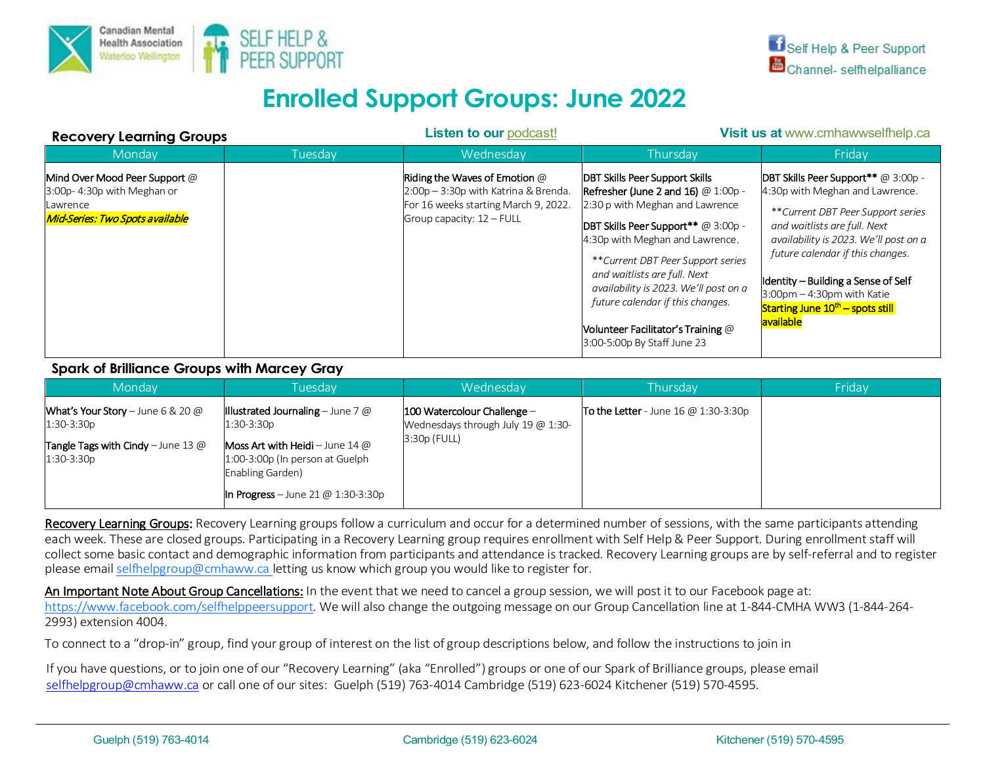

# **Enrolled Support Groups: June 2022**

| <b>Recovery Learning Groups</b>                                                                                |         | <b>Listen to our podcast!</b>                                                                                                                     | Visit us at www.cmhawwselfhelp.ca                                                                                                                                                                                                                                                                                                                                                                                        |                                                                                                                                                                                                                                                                                                                                                                      |
|----------------------------------------------------------------------------------------------------------------|---------|---------------------------------------------------------------------------------------------------------------------------------------------------|--------------------------------------------------------------------------------------------------------------------------------------------------------------------------------------------------------------------------------------------------------------------------------------------------------------------------------------------------------------------------------------------------------------------------|----------------------------------------------------------------------------------------------------------------------------------------------------------------------------------------------------------------------------------------------------------------------------------------------------------------------------------------------------------------------|
| Monday                                                                                                         | Tuesday | Wednesday                                                                                                                                         | Thursdav                                                                                                                                                                                                                                                                                                                                                                                                                 | Fridav                                                                                                                                                                                                                                                                                                                                                               |
| Mind Over Mood Peer Support $@$<br>$3:00p-4:30p$ with Meghan or<br>Lawrence<br>Mid-Series: Two Spots available |         | Riding the Waves of Emotion $\varpi$<br>2:00p - 3:30p with Katrina & Brenda.<br>For 16 weeks starting March 9, 2022.<br>Group capacity: 12 - FULL | <b>DBT Skills Peer Support Skills</b><br>Refresher (June 2 and 16) $@1:00p -$<br>2:30 p with Meghan and Lawrence<br><b>DBT Skills Peer Support**</b> @ 3:00p -<br>4:30p with Meghan and Lawrence.<br>**Current DBT Peer Support series<br>and waitlists are full. Next<br>availability is 2023. We'll post on a<br>future calendar if this changes.<br>Volunteer Facilitator's Training @<br>3:00-5:00p By Staff June 23 | <b>DBT Skills Peer Support **</b> @ 3:00p -<br>4:30p with Meghan and Lawrence.<br>**Current DBT Peer Support series<br>and waitlists are full. Next<br>availability is 2023. We'll post on a<br>future calendar if this changes.<br>Identity - Building a Sense of Self<br>$3:00$ pm $-4:30$ pm with Katie<br>Starting June $10th$ – spots still<br><b>available</b> |

# **Spark of Brilliance Groups with Marcey Gray**

| Monday                                                          | Tuesdav                                                                                              | Wednesday                                                                              | Thursday                               | Friday |
|-----------------------------------------------------------------|------------------------------------------------------------------------------------------------------|----------------------------------------------------------------------------------------|----------------------------------------|--------|
| <b>What's Your Story</b> – June 6 & 20 $\omega$<br>$1:30-3:30p$ | <b>Illustrated Journaling</b> – June 7 $@$<br>1:30-3:30p                                             | $ 100$ Watercolour Challenge –<br>Wednesdays through July 19 $@$ 1:30-<br>3:30p (FULL) | To the Letter - June 16 $@$ 1:30-3:30p |        |
| <b>Tangle Tags with Cindy</b> - June 13 $@$<br>$1:30-3:30p$     | <b>Moss Art with Heidi</b> – June 14 $\omega$<br>1:00-3:00p (In person at Guelph<br>Enabling Garden) |                                                                                        |                                        |        |
|                                                                 | In Progress – June 21 @ 1:30-3:30p                                                                   |                                                                                        |                                        |        |

Recovery Learning Groups: Recovery Learning groups follow a curriculum and occur for a determined number of sessions, with the same participants attending each week. These are closed groups. Participating in a Recovery Learning group requires enrollment with Self Help & Peer Support. During enrollment staff will collect some basic contact and demographic information from participants and attendance is tracked. Recovery Learning groups are by self-referral and to register please emai[l selfhelpgroup@cmhaww.ca](mailto:selfhelpgroup@cmhaww.ca) letting us know which group you would like to register for.

An Important Note About Group Cancellations: In the event that we need to cancel a group session, we will post it to our Facebook page at: [https://www.facebook.com/selfhelppeersupport.](https://www.facebook.com/selfhelppeersupport) We will also change the outgoing message on our Group Cancellation line at 1-844-CMHA WW3 (1-844-264- 2993) extension 4004.

To connect to a "drop-in" group, find your group of interest on the list of group descriptions below, and follow the instructions to join in

If you have questions, or to join one of our "Recovery Learning" (aka "Enrolled") groups or one of our Spark of Brilliance groups, please email [selfhelpgroup@cmhaww.ca](mailto:selfhelpgroup@cmhaww.ca) or call one of our sites: Guelph (519) 763-4014 Cambridge (519) 623-6024 Kitchener (519) 570-4595.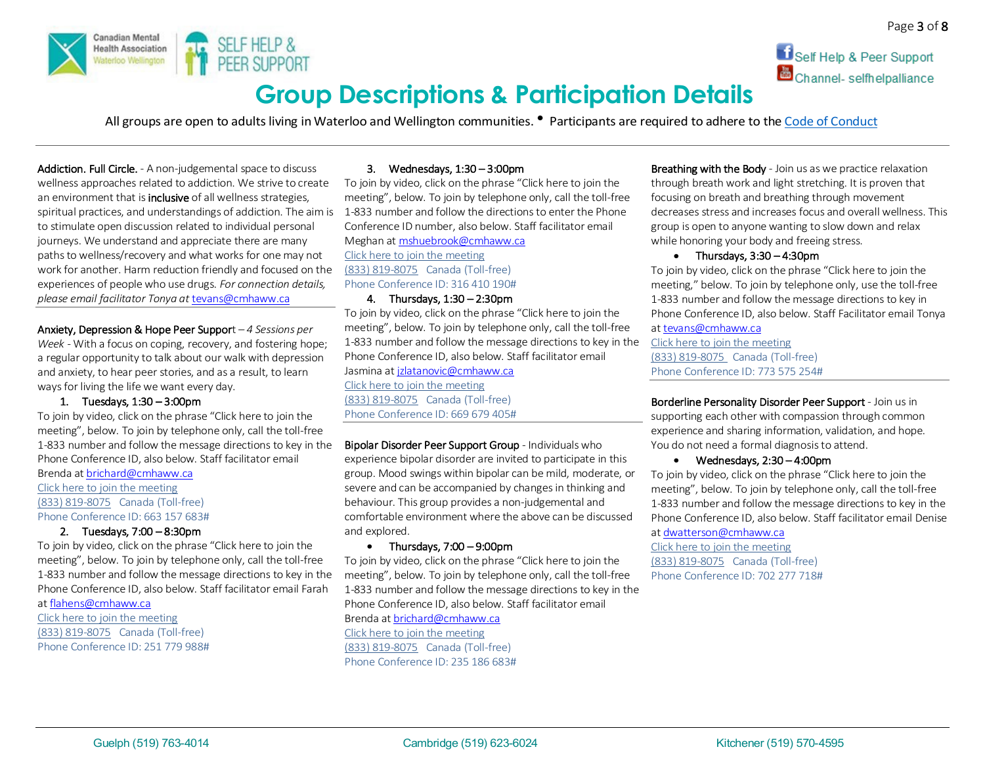



# **Group Descriptions & Participation Details**

All groups are open to adults living in Waterloo and Wellington communities. **•** Participants are required to adhere to the Code of Conduct

Addiction. Full Circle. - A non-judgemental space to discuss wellness approaches related to addiction. We strive to create an environment that is **inclusive** of all wellness strategies. spiritual practices, and understandings of addiction. The aim is 1-833 number and follow the directions to enter the Phone to stimulate open discussion related to individual personal journeys. We understand and appreciate there are many paths to wellness/recovery and what works for one may not work for another. Harm reduction friendly and focused on the experiences of people who use drugs. *For connection details, please email facilitator Tonya at* [tevans@cmhaww.ca](mailto:tevans@cmhaww.ca)

Anxiety, Depression & Hope Peer Support – *4 Sessions per Week -* With a focus on coping, recovery, and fostering hope; a regular opportunity to talk about our walk with depression and anxiety, to hear peer stories, and as a result, to learn ways for living the life we want every day.

#### 1. Tuesdays, 1:30 – 3:00pm

To join by video, click on the phrase "Click here to join the meeting", below. To join by telephone only, call the toll-free 1-833 number and follow the message directions to key in the Phone Conference ID, also below. Staff facilitator email Brenda a[t brichard@cmhaww.ca](mailto:brichard@cmhaww.ca)

[Click here to join the meeting](https://teams.microsoft.com/l/meetup-join/19%3ameeting_YjRhMjdjMmQtOTRmOC00NDA3LTkxMTktYWM3OTEwYjE2M2Fk%40thread.v2/0?context=%7b%22Tid%22%3a%227ee209e0-4288-4e75-acae-cdab33b613e0%22%2c%22Oid%22%3a%22db6eaa41-5d1d-4c3d-a2b1-8ea3f8c16b78%22%7d) [\(833\) 819-8075](tel:8338198075,,663157683#%20) Canada (Toll-free) Phone Conference ID: 663 157 683#

# 2. Tuesdays, 7:00 – 8:30pm

To join by video, click on the phrase "Click here to join the meeting", below. To join by telephone only, call the toll-free 1-833 number and follow the message directions to key in the Phone Conference ID, also below. Staff facilitator email Farah

a[t flahens@cmhaww.ca](mailto:flahens@cmhaww.ca)

[Click here to join the meeting](https://teams.microsoft.com/l/meetup-join/19%3ameeting_NTMwZGY2ZGUtOGRhYi00MjgwLThjYTMtMzAxYjdkNDkxNmIw%40thread.v2/0?context=%7b%22Tid%22%3a%227ee209e0-4288-4e75-acae-cdab33b613e0%22%2c%22Oid%22%3a%22db6eaa41-5d1d-4c3d-a2b1-8ea3f8c16b78%22%7d) [\(833\) 819-8075](tel:8338198075,,251779988#%20) Canada (Toll-free) Phone Conference ID: 251 779 988#

#### 3. Wednesdays, 1:30 – 3:00pm

To join by video, click on the phrase "Click here to join the meeting", below. To join by telephone only, call the toll-free Conference ID number, also below. Staff facilitator email Meghan a[t mshuebrook@cmhaww.ca](mailto:mshuebrook@cmhaww.ca) [Click here to join the meeting](https://teams.microsoft.com/l/meetup-join/19%3ameeting_ZDJhODZiZjMtMWRkMy00Yjg1LTllZjEtZmI5YzA5ZDZmZWI4%40thread.v2/0?context=%7b%22Tid%22%3a%227ee209e0-4288-4e75-acae-cdab33b613e0%22%2c%22Oid%22%3a%22db6eaa41-5d1d-4c3d-a2b1-8ea3f8c16b78%22%7d) [\(833\) 819-8075](tel:8338198075,,316410190#%20) Canada (Toll-free) Phone Conference ID: 316 410 190#

#### 4. Thursdays, 1:30 – 2:30pm

To join by video, click on the phrase "Click here to join the meeting", below. To join by telephone only, call the toll-free 1-833 number and follow the message directions to key in the Phone Conference ID, also below. Staff facilitator email Jasmina a[t jzlatanovic@cmhaww.ca](mailto:jzlatanovic@cmhaww.ca) [Click here to join the meeting](https://teams.microsoft.com/l/meetup-join/19%3ameeting_NGVhZDY4YTUtZjk4OC00ODZhLWJiNTEtZTAzN2JlYjkwMzFi%40thread.v2/0?context=%7b%22Tid%22%3a%227ee209e0-4288-4e75-acae-cdab33b613e0%22%2c%22Oid%22%3a%22db6eaa41-5d1d-4c3d-a2b1-8ea3f8c16b78%22%7d) [\(833\) 819-8075](tel:8338198075,,669679405#%20) Canada (Toll-free) Phone Conference ID: 669 679 405#

Bipolar Disorder Peer Support Group - Individuals who experience bipolar disorder are invited to participate in this group. Mood swings within bipolar can be mild, moderate, or severe and can be accompanied by changes in thinking and behaviour. This group provides a non-judgemental and comfortable environment where the above can be discussed and explored.

#### • Thursdays,  $7:00 - 9:00$ pm

To join by video, click on the phrase "Click here to join the meeting", below. To join by telephone only, call the toll-free 1-833 number and follow the message directions to key in the Phone Conference ID, also below. Staff facilitator email

Brenda a[t brichard@cmhaww.ca](mailto:brichard@cmhaww.ca) [Click here to join the meeting](https://teams.microsoft.com/l/meetup-join/19%3ameeting_NTU2MTg3ZWMtNDIxZi00M2U4LWIwNmQtZTRkOWM5ZWQxNDYy%40thread.v2/0?context=%7b%22Tid%22%3a%227ee209e0-4288-4e75-acae-cdab33b613e0%22%2c%22Oid%22%3a%22db6eaa41-5d1d-4c3d-a2b1-8ea3f8c16b78%22%7d) [\(833\) 819-8075](tel:8338198075,,235186683#%20) Canada (Toll-free) Phone Conference ID: 235 186 683# Breathing with the Body - Join us as we practice relaxation through breath work and light stretching. It is proven that focusing on breath and breathing through movement decreases stress and increases focus and overall wellness. This group is open to anyone wanting to slow down and relax while honoring your body and freeing stress.

#### • Thursdays, 3:30 – 4:30pm

To join by video, click on the phrase "Click here to join the meeting," below. To join by telephone only, use the toll-free 1-833 number and follow the message directions to key in Phone Conference ID, also below. Staff Facilitator email Tonya

# a[t tevans@cmhaww.ca](mailto:tevans@cmhaww.ca)

[Click here to join the meeting](https://teams.microsoft.com/l/meetup-join/19%3ameeting_MmU1NDU4MzAtNDJhMi00MWI3LWFlZjMtNWMwNzE4NmM0MDcz%40thread.v2/0?context=%7b%22Tid%22%3a%227ee209e0-4288-4e75-acae-cdab33b613e0%22%2c%22Oid%22%3a%22db6eaa41-5d1d-4c3d-a2b1-8ea3f8c16b78%22%7d) [\(833\) 819-8075](tel:8338198075,,773575254#%20) Canada (Toll-free) Phone Conference ID: 773 575 254#

Borderline Personality Disorder Peer Support - Join us in supporting each other with compassion through common experience and sharing information, validation, and hope. You do not need a formal diagnosis to attend.

#### • Wednesdays, 2:30 – 4:00pm

To join by video, click on the phrase "Click here to join the meeting", below. To join by telephone only, call the toll-free 1-833 number and follow the message directions to key in the Phone Conference ID, also below. Staff facilitator email Denise a[t dwatterson@cmhaww.ca](mailto:dwatterson@cmhaww.ca)

[Click here to join the meeting](https://teams.microsoft.com/l/meetup-join/19%3ameeting_YTQ0MTZjZjctOTdiZC00ZTMwLWJjYzUtMTlhOGU0MjNhYzNm%40thread.v2/0?context=%7b%22Tid%22%3a%227ee209e0-4288-4e75-acae-cdab33b613e0%22%2c%22Oid%22%3a%22db6eaa41-5d1d-4c3d-a2b1-8ea3f8c16b78%22%7d) [\(833\) 819-8075](tel:8338198075,,702277718#%20) Canada (Toll-free) Phone Conference ID: 702 277 718#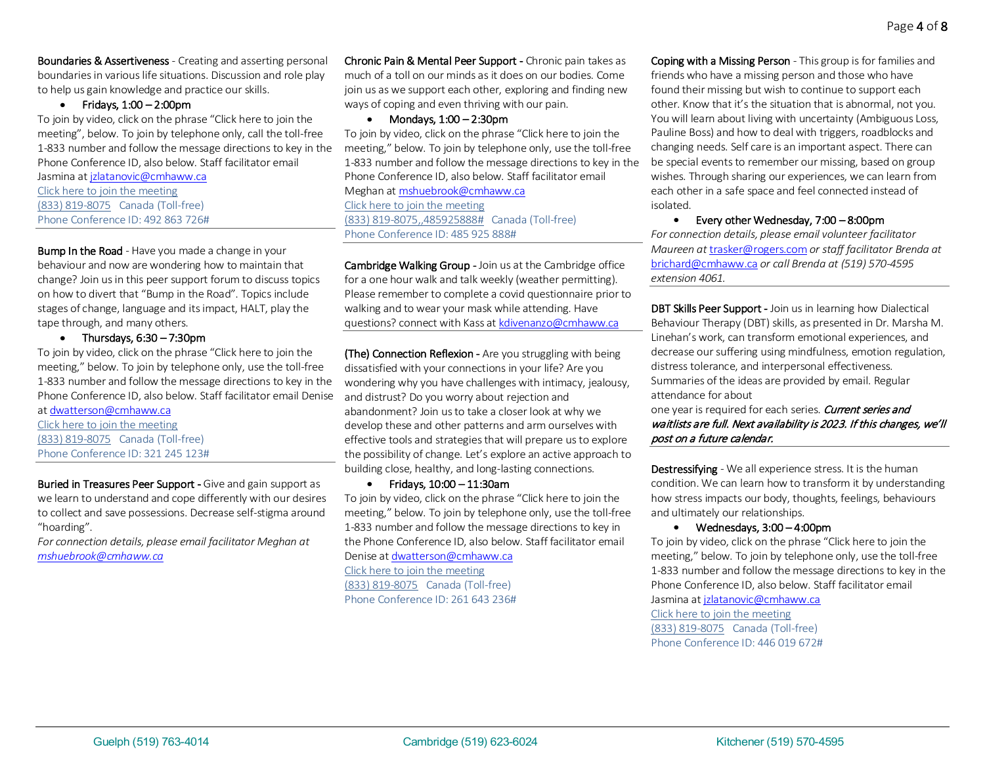Boundaries & Assertiveness - Creating and asserting personal boundaries in various life situations. Discussion and role play to help us gain knowledge and practice our skills.

### • Fridays, 1:00 – 2:00pm

To join by video, click on the phrase "Click here to join the meeting", below. To join by telephone only, call the toll-free 1-833 number and follow the message directions to key in the Phone Conference ID, also below. Staff facilitator email

Jasmina a[t jzlatanovic@cmhaww.ca](mailto:jzlatanovic@cmhaww.ca) [Click here to join the meeting](https://teams.microsoft.com/l/meetup-join/19%3ameeting_YTY5MDdjYjQtNTkyYy00ZDNlLTk5MTAtMDllOTFjMjdjNmNj%40thread.v2/0?context=%7b%22Tid%22%3a%227ee209e0-4288-4e75-acae-cdab33b613e0%22%2c%22Oid%22%3a%22db6eaa41-5d1d-4c3d-a2b1-8ea3f8c16b78%22%7d) [\(833\) 819-8075](tel:8338198075,,492863726#%20) Canada (Toll-free) Phone Conference ID: 492 863 726#

**Bump In the Road** - Have you made a change in your behaviour and now are wondering how to maintain that change? Join us in this peer support forum to discuss topics on how to divert that "Bump in the Road". Topics include stages of change, language and its impact, HALT, play the tape through, and many others.

• Thursdays, 6:30 – 7:30pm

To join by video, click on the phrase "Click here to join the meeting," below. To join by telephone only, use the toll-free 1-833 number and follow the message directions to key in the Phone Conference ID, also below. Staff facilitator email Denise a[t dwatterson@cmhaww.ca](mailto:dwatterson@cmhaww.ca)

[Click here to join the meeting](https://teams.microsoft.com/l/meetup-join/19%3ameeting_NWFhOWI5ODktZDIzMS00YzQyLThjOWUtNTExMDJhOWYzMmI1%40thread.v2/0?context=%7b%22Tid%22%3a%227ee209e0-4288-4e75-acae-cdab33b613e0%22%2c%22Oid%22%3a%22db6eaa41-5d1d-4c3d-a2b1-8ea3f8c16b78%22%7d) [\(833\) 819-8075](tel:8338198075,,321245123#%20) Canada (Toll-free) Phone Conference ID: 321 245 123#

Buried in Treasures Peer Support - Give and gain support as we learn to understand and cope differently with our desires to collect and save possessions. Decrease self-stigma around "hoarding".

*For connection details, please email facilitator Meghan at [mshuebrook@cmhaww.ca](mailto:mshuebrook@cmhaww.ca)*

Chronic Pain & Mental Peer Support - Chronic pain takes as much of a toll on our minds as it does on our bodies. Come join us as we support each other, exploring and finding new ways of coping and even thriving with our pain.

• Mondays, 1:00 – 2:30pm

To join by video, click on the phrase "Click here to join the meeting," below. To join by telephone only, use the toll-free 1-833 number and follow the message directions to key in the Phone Conference ID, also below. Staff facilitator email Meghan a[t mshuebrook@cmhaww.ca](mailto:mshuebrook@cmhaww.ca) [Click here to join the meeting](https://teams.microsoft.com/l/meetup-join/19%3ameeting_YTUzNWE3Y2MtMTNiYy00ZjFhLTljOTktMjJhMGVmYWMwNWMy%40thread.v2/0?context=%7b%22Tid%22%3a%227ee209e0-4288-4e75-acae-cdab33b613e0%22%2c%22Oid%22%3a%22db6eaa41-5d1d-4c3d-a2b1-8ea3f8c16b78%22%7d) [\(833\) 819-8075,,485925888#](tel:8338198075,,485925888#%20) Canada (Toll-free) Phone Conference ID: 485 925 888#

Cambridge Walking Group - Join us at the Cambridge office for a one hour walk and talk weekly (weather permitting). Please remember to complete a covid questionnaire prior to walking and to wear your mask while attending. Have questions? connect with Kass a[t kdivenanzo@cmhaww.ca](mailto:kdivenanzo@cmhaww.ca)

(The) Connection Reflexion - Are you struggling with being dissatisfied with your connections in your life? Are you wondering why you have challenges with intimacy, jealousy, and distrust? Do you worry about rejection and abandonment? Join us to take a closer look at why we develop these and other patterns and arm ourselves with effective tools and strategies that will prepare us to explore the possibility of change. Let's explore an active approach to building close, healthy, and long-lasting connections.

• Fridays, 10:00 – 11:30am

To join by video, click on the phrase "Click here to join the meeting," below. To join by telephone only, use the toll-free 1-833 number and follow the message directions to key in the Phone Conference ID, also below. Staff facilitator email Denise a[t dwatterson@cmhaww.ca](mailto:dwatterson@cmhaww.ca) [Click here to join the meeting](https://teams.microsoft.com/l/meetup-join/19%3ameeting_YTRmZGE2MWUtY2ZlMC00ODMxLWE3MTAtZDM3MjQ3NGE5ODg0%40thread.v2/0?context=%7b%22Tid%22%3a%227ee209e0-4288-4e75-acae-cdab33b613e0%22%2c%22Oid%22%3a%22db6eaa41-5d1d-4c3d-a2b1-8ea3f8c16b78%22%7d) [\(833\) 819-8075](tel:8338198075,,261643236#%20) Canada (Toll-free) Phone Conference ID: 261 643 236#

Coping with a Missing Person - This group is for families and friends who have a missing person and those who have found their missing but wish to continue to support each other. Know that it's the situation that is abnormal, not you. You will learn about living with uncertainty (Ambiguous Loss, Pauline Boss) and how to deal with triggers, roadblocks and changing needs. Self care is an important aspect. There can be special events to remember our missing, based on group wishes. Through sharing our experiences, we can learn from each other in a safe space and feel connected instead of isolated.

#### • Every other Wednesday, 7:00 – 8:00pm

*For connection details, please email volunteer facilitator Maureen at* [trasker@rogers.com](mailto:trasker@rogers.com) *or staff facilitator Brenda at*  [brichard@cmhaww.ca](mailto:brichard@cmhaww.ca) *or call Brenda at (519) 570-4595 extension 4061.*

DBT Skills Peer Support - Join us in learning how Dialectical Behaviour Therapy (DBT) skills, as presented in Dr. Marsha M. Linehan's work, can transform emotional experiences, and decrease our suffering using mindfulness, emotion regulation, distress tolerance, and interpersonal effectiveness. Summaries of the ideas are provided by email. Regular attendance for about

one year is required for each series. Current series and waitlists are full. Next availability is 2023. If this changes, we'll post on a future calendar.

Destressifying - We all experience stress. It is the human condition. We can learn how to transform it by understanding how stress impacts our body, thoughts, feelings, behaviours and ultimately our relationships.

#### • Wednesdays, 3:00 – 4:00pm

To join by video, click on the phrase "Click here to join the meeting," below. To join by telephone only, use the toll-free 1-833 number and follow the message directions to key in the Phone Conference ID, also below. Staff facilitator email Jasmina a[t jzlatanovic@cmhaww.ca](mailto:jzlatanovic@cmhaww.ca) [Click here to join the meeting](https://teams.microsoft.com/l/meetup-join/19%3ameeting_OTdmMzIwNTQtNjU2Zi00YmNmLWJkODctNGJjMzQxMjk1MDM2%40thread.v2/0?context=%7b%22Tid%22%3a%227ee209e0-4288-4e75-acae-cdab33b613e0%22%2c%22Oid%22%3a%22db6eaa41-5d1d-4c3d-a2b1-8ea3f8c16b78%22%7d) [\(833\) 819-8075](tel:8338198075,,446019672#%20) Canada (Toll-free) Phone Conference ID: 446 019 672#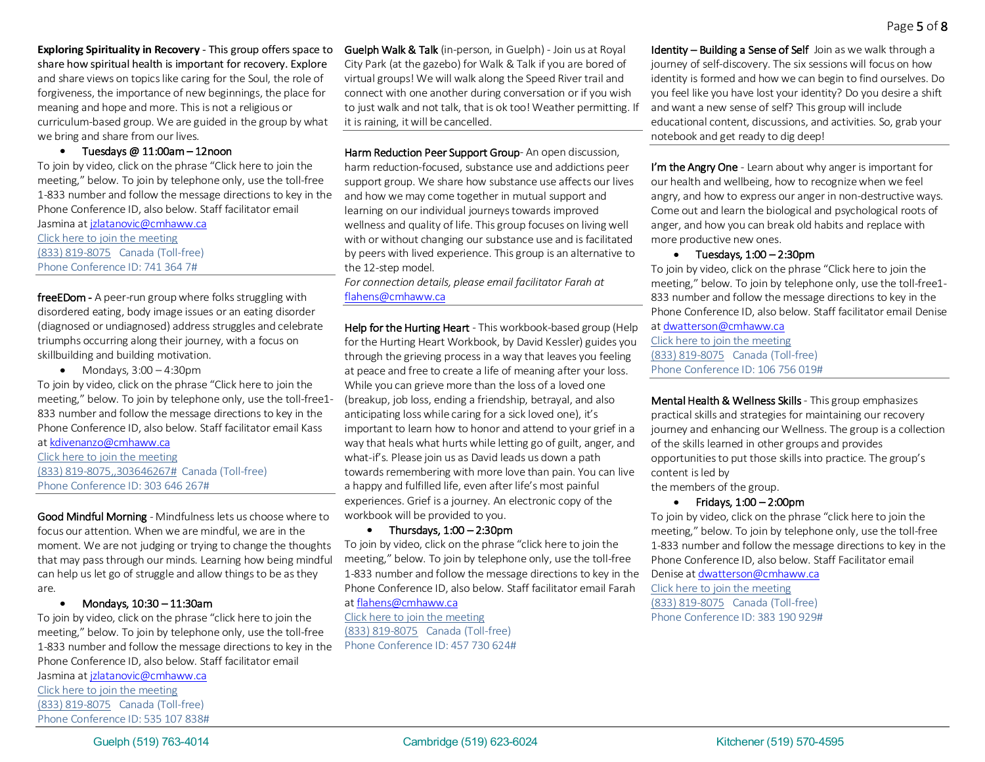**Exploring Spirituality in Recovery** - This group offers space to share how spiritual health is important for recovery. Explore and share views on topics like caring for the Soul, the role of forgiveness, the importance of new beginnings, the place for meaning and hope and more. This is not a religious or curriculum-based group. We are guided in the group by what we bring and share from our lives.

#### • Tuesdays @ 11:00am – 12noon

To join by video, click on the phrase "Click here to join the meeting," below. To join by telephone only, use the toll-free 1-833 number and follow the message directions to key in the Phone Conference ID, also below. Staff facilitator email

Jasmina a[t jzlatanovic@cmhaww.ca](mailto:jzlatanovic@cmhaww.ca) [Click here to join the meeting](https://teams.microsoft.com/l/meetup-join/19%3ameeting_MTQ0MTU2ZGMtNDBhZS00NTk2LTgzNmYtMmExN2QzNTcwNTJl%40thread.v2/0?context=%7b%22Tid%22%3a%227ee209e0-4288-4e75-acae-cdab33b613e0%22%2c%22Oid%22%3a%22db6eaa41-5d1d-4c3d-a2b1-8ea3f8c16b78%22%7d) [\(833\) 819-8075](tel:8338198075,,7413647#%20) Canada (Toll-free) Phone Conference ID: 741 364 7#

freeEDom - A peer-run group where folks struggling with disordered eating, body image issues or an eating disorder (diagnosed or undiagnosed) address struggles and celebrate triumphs occurring along their journey, with a focus on skillbuilding and building motivation.

 $\bullet$  Mondays,  $3:00 - 4:30$ pm

To join by video, click on the phrase "Click here to join the meeting," below. To join by telephone only, use the toll-free1- 833 number and follow the message directions to key in the Phone Conference ID, also below. Staff facilitator email Kass a[t kdivenanzo@cmhaww.ca](mailto:kdivenanzo@cmhaww.ca)

[Click here to join the meeting](https://teams.microsoft.com/l/meetup-join/19%3ameeting_ZjI4MzVjNWUtNjUyMC00ODhkLWE4OGEtZjliMGI2Zjg0ODA3%40thread.v2/0?context=%7b%22Tid%22%3a%227ee209e0-4288-4e75-acae-cdab33b613e0%22%2c%22Oid%22%3a%22db6eaa41-5d1d-4c3d-a2b1-8ea3f8c16b78%22%7d) [\(833\) 819-8075,,303646267#](tel:8338198075,,303646267) Canada (Toll-free) Phone Conference ID: 303 646 267#

Good Mindful Morning -Mindfulness lets us choose where to focus our attention. When we are mindful, we are in the moment. We are not judging or trying to change the thoughts that may pass through our minds. Learning how being mindful can help us let go of struggle and allow things to be as they are.

#### • Mondays, 10:30 – 11:30am

To join by video, click on the phrase "click here to join the meeting," below. To join by telephone only, use the toll-free 1-833 number and follow the message directions to key in the Phone Conference ID, also below. Staff facilitator email

Jasmina a[t jzlatanovic@cmhaww.ca](mailto:jzlatanovic@cmhaww.ca) [Click here to join the meeting](https://teams.microsoft.com/l/meetup-join/19%3ameeting_YjBjMDkyNmEtYjdmNC00MWUyLWIyNDItNzAwYzU5ZDBkMDNl%40thread.v2/0?context=%7b%22Tid%22%3a%227ee209e0-4288-4e75-acae-cdab33b613e0%22%2c%22Oid%22%3a%22db6eaa41-5d1d-4c3d-a2b1-8ea3f8c16b78%22%7d) [\(833\) 819-8075](tel:8338198075,,535107838#%20) Canada (Toll-free) Phone Conference ID: 535 107 838# Guelph Walk & Talk (in-person, in Guelph) - Join us at Royal City Park (at the gazebo) for Walk & Talk if you are bored of virtual groups! We will walk along the Speed River trail and connect with one another during conversation or if you wish to just walk and not talk, that is ok too! Weather permitting. If it is raining, it will be cancelled.

Harm Reduction Peer Support Group- An open discussion, harm reduction-focused, substance use and addictions peer support group. We share how substance use affects our lives and how we may come together in mutual support and learning on our individual journeys towards improved wellness and quality of life. This group focuses on living well with or without changing our substance use and is facilitated by peers with lived experience. This group is an alternative to the 12-step model.

*For connection details, please email facilitator Farah at*  [flahens@cmhaww.ca](mailto:flahens@cmhaww.ca)

Help for the Hurting Heart - This workbook-based group (Help for the Hurting Heart Workbook, by David Kessler) guides you through the grieving process in a way that leaves you feeling at peace and free to create a life of meaning after your loss. While you can grieve more than the loss of a loved one (breakup, job loss, ending a friendship, betrayal, and also anticipating loss while caring for a sick loved one), it's important to learn how to honor and attend to your grief in a way that heals what hurts while letting go of guilt, anger, and what-if's. Please join us as David leads us down a path towards remembering with more love than pain. You can live a happy and fulfilled life, even after life's most painful experiences. Grief is a journey. An electronic copy of the workbook will be provided to you.

#### • Thursdays, 1:00 – 2:30pm

To join by video, click on the phrase "click here to join the meeting," below. To join by telephone only, use the toll-free 1-833 number and follow the message directions to key in the Phone Conference ID, also below. Staff facilitator email Farah

a[t flahens@cmhaww.ca](mailto:flahens@cmhaww.ca)

[Click here to join the meeting](https://teams.microsoft.com/l/meetup-join/19%3ameeting_MTcxZWZiYWEtYzZhZC00ZGViLTljM2QtZjgxYTNiYTI5Yjkz%40thread.v2/0?context=%7b%22Tid%22%3a%227ee209e0-4288-4e75-acae-cdab33b613e0%22%2c%22Oid%22%3a%22db6eaa41-5d1d-4c3d-a2b1-8ea3f8c16b78%22%7d) [\(833\) 819-8075](tel:8338198075,,457730624#%20) Canada (Toll-free) Phone Conference ID: 457 730 624# Identity – Building a Sense of Self Join as we walk through a journey of self-discovery. The six sessions will focus on how identity is formed and how we can begin to find ourselves. Do you feel like you have lost your identity? Do you desire a shift and want a new sense of self? This group will include educational content, discussions, and activities. So, grab your notebook and get ready to dig deep!

I'm the Angry One - Learn about why anger is important for our health and wellbeing, how to recognize when we feel angry, and how to express our anger in non-destructive ways. Come out and learn the biological and psychological roots of anger, and how you can break old habits and replace with more productive new ones.

### • Tuesdays,  $1:00 - 2:30$ pm

To join by video, click on the phrase "Click here to join the meeting," below. To join by telephone only, use the toll-free1- 833 number and follow the message directions to key in the Phone Conference ID, also below. Staff facilitator email Denise

a[t dwatterson@cmhaww.ca](mailto:dwatterson@cmhaww.ca) Click here to [join the meeting](https://teams.microsoft.com/l/meetup-join/19%3ameeting_Y2QwODIyMjYtYWQzNy00YjIyLWE3NzItNmVlZWQ2ZTMyM2Rh%40thread.v2/0?context=%7b%22Tid%22%3a%227ee209e0-4288-4e75-acae-cdab33b613e0%22%2c%22Oid%22%3a%22db6eaa41-5d1d-4c3d-a2b1-8ea3f8c16b78%22%7d) [\(833\) 819-8075](tel:8338198075,,106756019#%20) Canada (Toll-free) Phone Conference ID: 106 756 019#

Mental Health & Wellness Skills- This group emphasizes practical skills and strategies for maintaining our recovery journey and enhancing our Wellness. The group is a collection of the skills learned in other groups and provides opportunities to put those skills into practice. The group's content is led by

the members of the group.

# • Fridays, 1:00 – 2:00pm

To join by video, click on the phrase "click here to join the meeting," below. To join by telephone only, use the toll-free 1-833 number and follow the message directions to key in the Phone Conference ID, also below. Staff Facilitator email Denise a[t dwatterson@cmhaww.ca](mailto:dwatterson@cmhaww.ca) [Click here to join the meeting](https://teams.microsoft.com/l/meetup-join/19%3ameeting_MDFhNzIyYTktMGYzOS00ZTk3LTg0ZjYtYWJmNzliMTAzZTA0%40thread.v2/0?context=%7b%22Tid%22%3a%227ee209e0-4288-4e75-acae-cdab33b613e0%22%2c%22Oid%22%3a%22db6eaa41-5d1d-4c3d-a2b1-8ea3f8c16b78%22%7d) [\(833\) 819-8075](tel:8338198075,,383190929#%20) Canada (Toll-free)

Phone Conference ID: 383 190 929#

Guelph (519) 763-4014 **Cambridge (519) 623-6024** Kitchener (519) 570-4595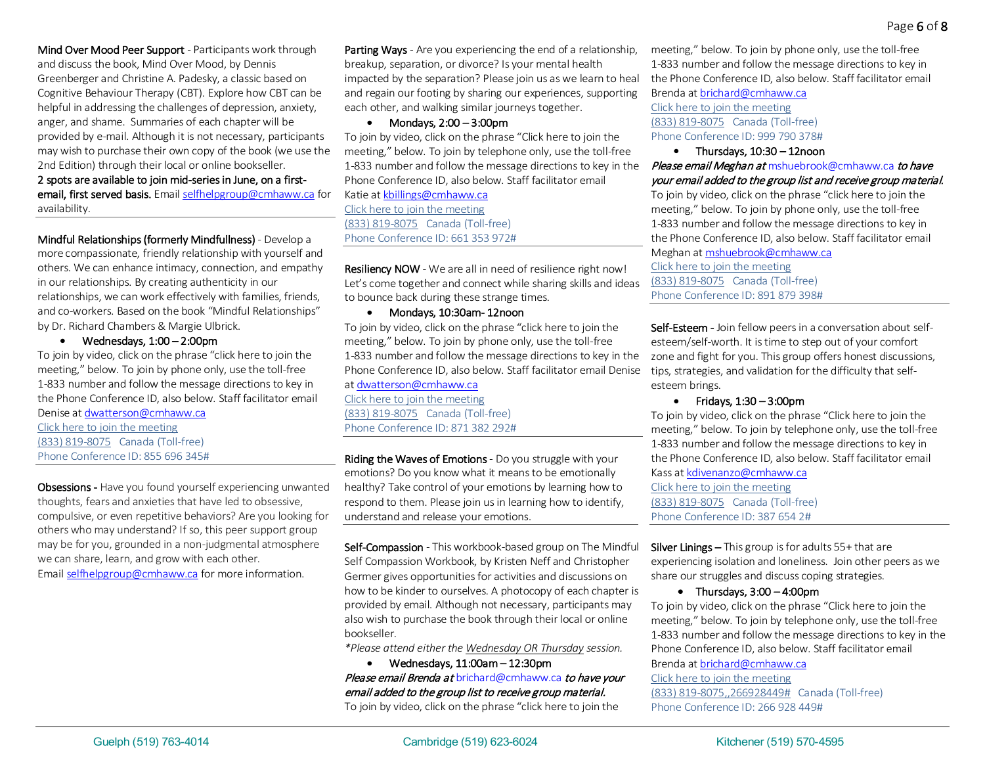Mind Over Mood Peer Support - Participants work through and discuss the book, Mind Over Mood, by Dennis Greenberger and Christine A. Padesky, a classic based on Cognitive Behaviour Therapy (CBT). Explore how CBT can be helpful in addressing the challenges of depression, anxiety, anger, and shame. Summaries of each chapter will be provided by e-mail. Although it is not necessary, participants may wish to purchase their own copy of the book (we use the 2nd Edition) through their local or online bookseller.

2 spots are available to join mid-series in June, on a firstemail, first served basis. Emai[l selfhelpgroup@cmhaww.ca](mailto:selfhelpgroup@cmhaww.ca) for availability.

Mindful Relationships (formerly Mindfullness) - Develop a more compassionate, friendly relationship with yourself and others. We can enhance intimacy, connection, and empathy in our relationships. By creating authenticity in our relationships, we can work effectively with families, friends, and co-workers. Based on the book "Mindful Relationships" by Dr. Richard Chambers & Margie Ulbrick.

• Wednesdays, 1:00 – 2:00pm

To join by video, click on the phrase "click here to join the meeting," below. To join by phone only, use the toll-free 1-833 number and follow the message directions to key in the Phone Conference ID, also below. Staff facilitator email

Denise a[t dwatterson@cmhaww.ca](mailto:dwatterson@cmhaww.ca) [Click here to join the meeting](https://teams.microsoft.com/l/meetup-join/19%3ameeting_YWZmZTBiYTgtZjZlNC00ZjM4LThiNjgtOWQzMGM0NmY1ZDNm%40thread.v2/0?context=%7b%22Tid%22%3a%227ee209e0-4288-4e75-acae-cdab33b613e0%22%2c%22Oid%22%3a%22db6eaa41-5d1d-4c3d-a2b1-8ea3f8c16b78%22%7d) [\(833\) 819-8075](tel:8338198075,,855696345#%20) Canada (Toll-free) Phone Conference ID: 855 696 345#

Obsessions - Have you found yourself experiencing unwanted thoughts, fears and anxieties that have led to obsessive, compulsive, or even repetitive behaviors? Are you looking for others who may understand? If so, this peer support group may be for you, grounded in a non-judgmental atmosphere we can share, learn, and grow with each other. Emai[l selfhelpgroup@cmhaww.ca](mailto:selfhelpgroup@cmhaww.ca) for more information.

Parting Ways - Are you experiencing the end of a relationship, breakup, separation, or divorce? Is your mental health impacted by the separation? Please join us as we learn to heal and regain our footing by sharing our experiences, supporting each other, and walking similar journeys together. 

• Mondays, 2:00 – 3:00pm

To join by video, click on the phrase "Click here to join the meeting," below. To join by telephone only, use the toll-free 1-833 number and follow the message directions to key in the Phone Conference ID, also below. Staff facilitator email

Katie a[t kbillings@cmhaww.ca](mailto:kbillings@cmhaww.ca) [Click here to join the meeting](https://teams.microsoft.com/l/meetup-join/19%3ameeting_YmJlMGYyNzYtZGNhNy00MTRjLWEzZmUtMTFkZmEwNmU1MzRj%40thread.v2/0?context=%7b%22Tid%22%3a%227ee209e0-4288-4e75-acae-cdab33b613e0%22%2c%22Oid%22%3a%22db6eaa41-5d1d-4c3d-a2b1-8ea3f8c16b78%22%7d) [\(833\) 819-8075](tel:8338198075,,661353972#%20) Canada (Toll-free) Phone Conference ID: 661 353 972#

Resiliency NOW - We are all in need of resilience right now! Let's come together and connect while sharing skills and ideas to bounce back during these strange times.

• Mondays, 10:30am- 12noon

To join by video, click on the phrase "click here to join the meeting," below. To join by phone only, use the toll-free 1-833 number and follow the message directions to key in the Phone Conference ID, also below. Staff facilitator email Denise a[t dwatterson@cmhaww.ca](mailto:dwatterson@cmhaww.ca)  [Click here to join the meeting](https://teams.microsoft.com/l/meetup-join/19%3ameeting_NWJkMzI4MzMtMTAzZC00YjAwLWIxMGUtZmViNDY0MGViOWY4%40thread.v2/0?context=%7b%22Tid%22%3a%227ee209e0-4288-4e75-acae-cdab33b613e0%22%2c%22Oid%22%3a%22db6eaa41-5d1d-4c3d-a2b1-8ea3f8c16b78%22%7d) [\(833\) 819-8075](tel:8338198075,,871382292#%20) Canada (Toll-free) Phone Conference ID: 871 382 292#

Riding the Waves of Emotions - Do you struggle with your emotions? Do you know what it means to be emotionally healthy? Take control of your emotions by learning how to respond to them. Please join us in learning how to identify, understand and release your emotions.

Self-Compassion - This workbook-based group on The Mindful Self Compassion Workbook, by Kristen Neff and Christopher Germer gives opportunities for activities and discussions on how to be kinder to ourselves. A photocopy of each chapter is provided by email. Although not necessary, participants may also wish to purchase the book through their local or online bookseller.

*\*Please attend either the Wednesday OR Thursday session.* 

• Wednesdays, 11:00am – 12:30pm Please email Brenda at [brichard@cmhaww.ca](mailto:brichard@cmhaww.ca) to have your email added to the group list to receive group material. To join by video, click on the phrase "click here to join the

meeting," below. To join by phone only, use the toll-free 1-833 number and follow the message directions to key in the Phone Conference ID, also below. Staff facilitator email

Brenda at [brichard@cmhaww.ca](mailto:brichard@cmhaww.ca) [Click here to join the meeting](https://teams.microsoft.com/l/meetup-join/19%3ameeting_MTBmYzExYzYtZmY1Ny00ZDc1LTk2NDctOWZjNzAxYmJjNzk0%40thread.v2/0?context=%7b%22Tid%22%3a%227ee209e0-4288-4e75-acae-cdab33b613e0%22%2c%22Oid%22%3a%22db6eaa41-5d1d-4c3d-a2b1-8ea3f8c16b78%22%7d) [\(833\) 819-8075](tel:8338198075,,999790378#%20) Canada (Toll-free) Phone Conference ID: 999 790 378#

• Thursdays, 10:30 – 12noon Please email Meghan at [mshuebrook@cmhaww.ca](mailto:mshuebrook@cmhaww.ca) to have your email added to the group list and receive group material. To join by video, click on the phrase "click here to join the meeting," below. To join by phone only, use the toll-free 1-833 number and follow the message directions to key in the Phone Conference ID, also below. Staff facilitator email Meghan at [mshuebrook@cmhaww.ca](mailto:mshuebrook@cmhaww.ca)  [Click here to join the meeting](https://teams.microsoft.com/l/meetup-join/19%3ameeting_ZTU0NmJjOTEtZmE0MS00ZDMwLWE1YTctMGMwMDVjMzE0NDFk%40thread.v2/0?context=%7b%22Tid%22%3a%227ee209e0-4288-4e75-acae-cdab33b613e0%22%2c%22Oid%22%3a%22db6eaa41-5d1d-4c3d-a2b1-8ea3f8c16b78%22%7d) [\(833\) 819-8075](tel:8338198075,,891879398#%20) Canada (Toll-free) Phone Conference ID: 891 879 398#

Self-Esteem - Join fellow peers in a conversation about selfesteem/self-worth. It is time to step out of your comfort zone and fight for you. This group offers honest discussions, tips, strategies, and validation for the difficulty that selfesteem brings.

• Fridays, 1:30 – 3:00pm

To join by video, click on the phrase "Click here to join the meeting," below. To join by telephone only, use the toll-free 1-833 number and follow the message directions to key in the Phone Conference ID, also below. Staff facilitator email Kass a[t kdivenanzo@cmhaww.ca](mailto:kdivenanzo@cmhaww.ca) [Click here to join the meeting](https://teams.microsoft.com/l/meetup-join/19%3ameeting_NmNkMGRmMDktN2NmYS00ODk5LTk1NTMtNDBkMWU1MGFiYTdm%40thread.v2/0?context=%7b%22Tid%22%3a%227ee209e0-4288-4e75-acae-cdab33b613e0%22%2c%22Oid%22%3a%22db6eaa41-5d1d-4c3d-a2b1-8ea3f8c16b78%22%7d) [\(833\) 819-8075](tel:8338198075,,3876542#%20) Canada (Toll-free) Phone Conference ID: 387 654 2#

**Silver Linings –** This group is for adults  $55+$  that are experiencing isolation and loneliness. Join other peers as we share our struggles and discuss coping strategies.

#### • Thursdays, 3:00 – 4:00pm

To join by video, click on the phrase "Click here to join the meeting," below. To join by telephone only, use the toll-free 1-833 number and follow the message directions to key in the Phone Conference ID, also below. Staff facilitator email Brenda at [brichard@cmhaww.ca](mailto:brichard@cmhaww.ca)

[Click here to join the meeting](https://teams.microsoft.com/l/meetup-join/19%3ameeting_YmNiZDA0MTQtZmIwYi00MDFiLTllYmItMTdiZGNmZTFkODlj%40thread.v2/0?context=%7b%22Tid%22%3a%227ee209e0-4288-4e75-acae-cdab33b613e0%22%2c%22Oid%22%3a%222d315fd5-c87d-41ff-9dff-5686979894de%22%7d) [\(833\) 819-8075,,266928449#](tel:8338198075,,266928449)   Canada (Toll-free)

Phone Conference ID: 266 928 449#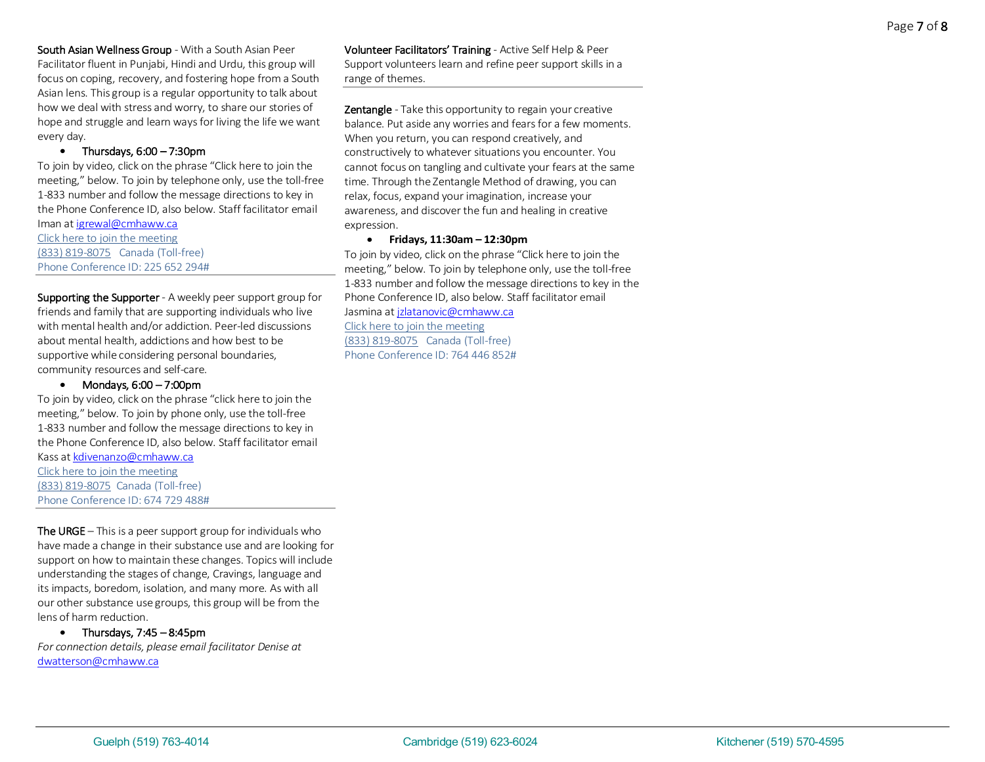South Asian Wellness Group - With a South Asian Peer Facilitator fluent in Punjabi, Hindi and Urdu, this group will focus on coping, recovery, and fostering hope from a South Asian lens. This group is a regular opportunity to talk about how we deal with stress and worry, to share our stories of hope and struggle and learn ways for living the life we want every day.

#### • Thursdays, 6:00 – 7:30pm

To join by video, click on the phrase "Click here to join the meeting," below. To join by telephone only, use the toll-free 1-833 number and follow the message directions to key in the Phone Conference ID, also below. Staff facilitator email Iman a[t igrewal@cmhaww.ca](mailto:igrewal@cmhaww.ca)

[Click here to join the meeting](https://teams.microsoft.com/l/meetup-join/19%3ameeting_OTZkZWY0YWQtOWE2OS00ZTIxLThlOGEtM2JhOTlkZTgzZTc4%40thread.v2/0?context=%7b%22Tid%22%3a%227ee209e0-4288-4e75-acae-cdab33b613e0%22%2c%22Oid%22%3a%22db6eaa41-5d1d-4c3d-a2b1-8ea3f8c16b78%22%7d) [\(833\) 819-8075](tel:8338198075,,225652294#%20) Canada (Toll-free) Phone Conference ID: 225 652 294#

### Supporting the Supporter - A weekly peer support group for friends and family that are supporting individuals who live with mental health and/or addiction. Peer-led discussions about mental health, addictions and how best to be supportive while considering personal boundaries, community resources and self-care.

# • Mondays, 6:00 – 7:00pm

To join by video, click on the phrase "click here to join the meeting," below. To join by phone only, use the toll-free 1-833 number and follow the message directions to key in the Phone Conference ID, also below. Staff facilitator email Kass a[t kdivenanzo@cmhaww.ca](mailto:kdivenanzo@cmhaww.ca)  [Click here to join the meeting](https://teams.microsoft.com/l/meetup-join/19%3ameeting_MzlmOTczOTMtMTZkMi00ZjA5LTg3YTItNmE0NjczZGVkYjZi%40thread.v2/0?context=%7b%22Tid%22%3a%227ee209e0-4288-4e75-acae-cdab33b613e0%22%2c%22Oid%22%3a%22db6eaa41-5d1d-4c3d-a2b1-8ea3f8c16b78%22%7d)

[\(833\) 819-8075](tel:8338198075,,674729488#%20) Canada (Toll-free) Phone Conference ID: 674 729 488#

The URGE – This is a peer support group for individuals who have made a change in their substance use and are looking for support on how to maintain these changes. Topics will include understanding the stages of change, Cravings, language and its impacts, boredom, isolation, and many more. As with all our other substance use groups, this group will be from the lens of harm reduction.

• Thursdays, 7:45 – 8:45pm *For connection details, please email facilitator Denise at*  [dwatterson@cmhaww.ca](mailto:dwatterson@cmhaww.ca)

Volunteer Facilitators' Training - Active Self Help & Peer Support volunteers learn and refine peer support skills in a range of themes.

**Zentangle** - Take this opportunity to regain your creative balance. Put aside any worries and fears for a few moments. When you return, you can respond creatively, and constructively to whatever situations you encounter. You cannot focus on tangling and cultivate your fears at the same time. Through the Zentangle Method of drawing, you can relax, focus, expand your imagination, increase your awareness, and discover the fun and healing in creative expression.

### • **Fridays, 11:30am – 12:30pm**

To join by video, click on the phrase "Click here to join the meeting," below. To join by telephone only, use the toll-free 1-833 number and follow the message directions to key in the Phone Conference ID, also below. Staff facilitator email Jasmina a[t jzlatanovic@cmhaww.ca](mailto:jzlatanovic@cmhaww.ca) [Click here to join the meeting](https://teams.microsoft.com/l/meetup-join/19%3ameeting_NjA2NjZkYmEtYmU5Mi00YjE3LTk3YTctOTI0MTVhNWY3MDFi%40thread.v2/0?context=%7b%22Tid%22%3a%227ee209e0-4288-4e75-acae-cdab33b613e0%22%2c%22Oid%22%3a%22db6eaa41-5d1d-4c3d-a2b1-8ea3f8c16b78%22%7d)

[\(833\) 819-8075](tel:8338198075,,764446852#%20) Canada (Toll-free) Phone Conference ID: 764 446 852#